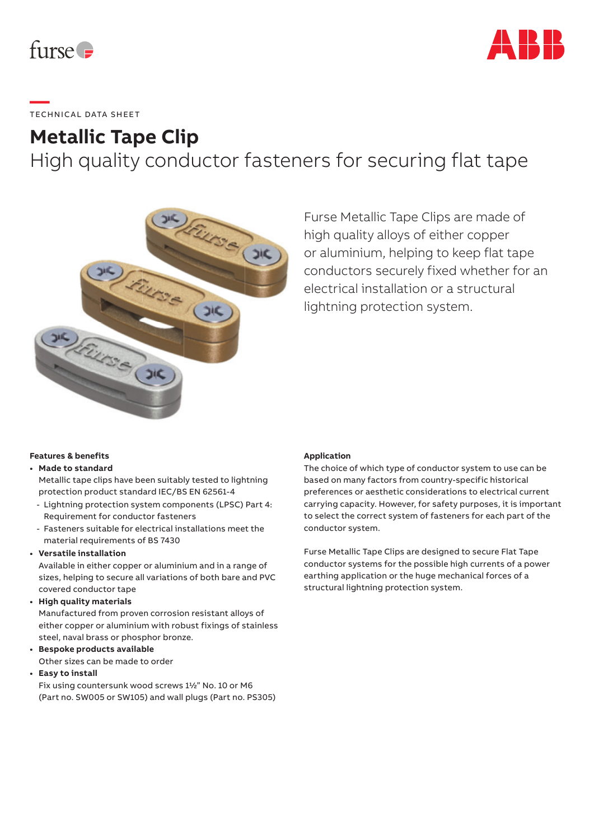



## **—**  TECHNICAL DATA SHEET

### **Metallic Tape Clip**

High quality conductor fasteners for securing flat tape



Furse Metallic Tape Clips are made of high quality alloys of either copper or aluminium, helping to keep flat tape conductors securely fixed whether for an electrical installation or a structural lightning protection system.

#### **Features & benefits**

#### **• Made to standard**

Metallic tape clips have been suitably tested to lightning protection product standard IEC/BS EN 62561-4

- Lightning protection system components (LPSC) Part 4: Requirement for conductor fasteners
- Fasteners suitable for electrical installations meet the material requirements of BS 7430

#### **• Versatile installation**

Available in either copper or aluminium and in a range of sizes, helping to secure all variations of both bare and PVC covered conductor tape

**• High quality materials**

Manufactured from proven corrosion resistant alloys of either copper or aluminium with robust fixings of stainless steel, naval brass or phosphor bronze.

- **Bespoke products available** Other sizes can be made to order
- **Easy to install**

Fix using countersunk wood screws 1½" No. 10 or M6 (Part no. SW005 or SW105) and wall plugs (Part no. PS305)

#### **Application**

The choice of which type of conductor system to use can be based on many factors from country-specific historical preferences or aesthetic considerations to electrical current carrying capacity. However, for safety purposes, it is important to select the correct system of fasteners for each part of the conductor system.

Furse Metallic Tape Clips are designed to secure Flat Tape conductor systems for the possible high currents of a power earthing application or the huge mechanical forces of a structural lightning protection system.